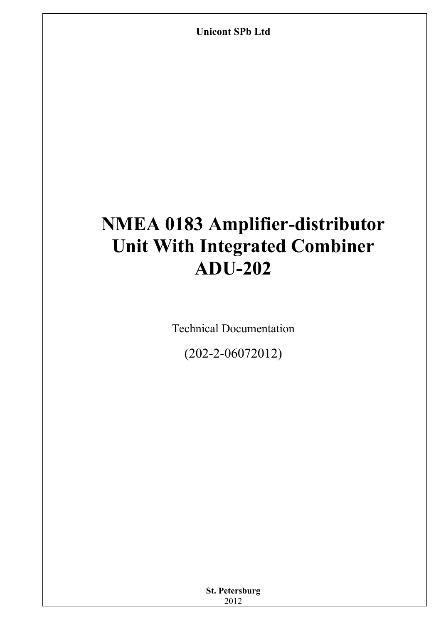**Unicont SPb Ltd** 

# **NMEA 0183 Amplifier-distributor Unit With Integrated Combiner ADU-202**

Technical Documentation

(202-2-06072012)

| <b>St. Petersburg</b> |  |
|-----------------------|--|
| 2012                  |  |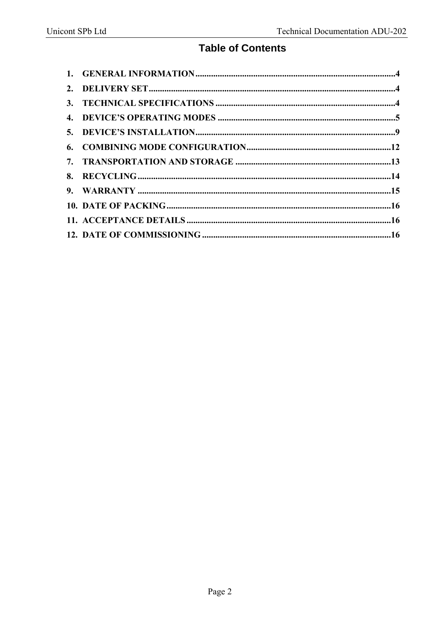### **Table of Contents**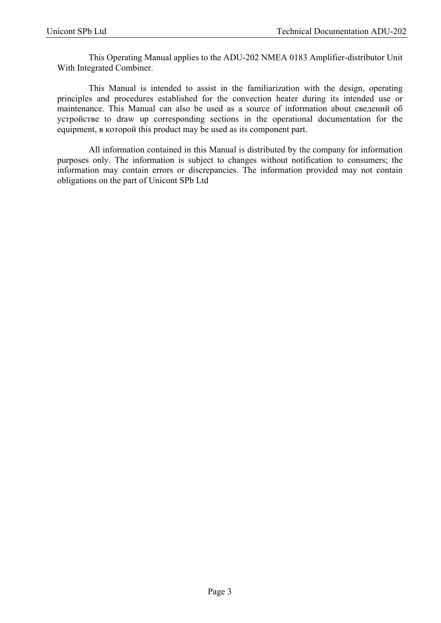This Operating Manual applies to the ADU-202 NMEA 0183 Amplifier-distributor Unit With Integrated Combiner.

This Manual is intended to assist in the familiarization with the design, operating principles and procedures established for the convection heater during its intended use or maintenance. This Manual can also be used as a source of information about сведений об устройстве to draw up corresponding sections in the operational documentation for the equipment, в которой this product may be used as its component part.

All information contained in this Manual is distributed by the company for information purposes only. The information is subject to changes without notification to consumers; the information may contain errors or discrepancies. The information provided may not contain obligations on the part of Unicont SPb Ltd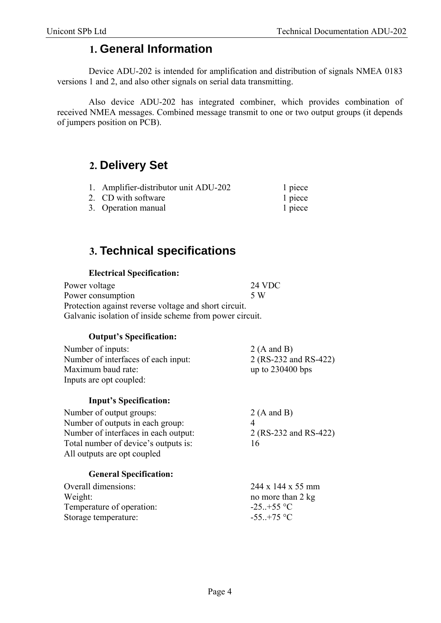### **1. General Information**

Device ADU-202 is intended for amplification and distribution of signals NMEA 0183 versions 1 and 2, and also other signals on serial data transmitting.

Also device ADU-202 has integrated combiner, which provides combination of received NMEA messages. Combined message transmit to one or two output groups (it depends of jumpers position on PCB).

### **2. Delivery Set**

| 1. Amplifier-distributor unit ADU-202 | 1 piece |
|---------------------------------------|---------|
| 2. CD with software                   | 1 piece |
| 3. Operation manual                   | 1 piece |

# **3. Technical specifications**

#### **Electrical Specification:**

| Power voltage                                           | <b>24 VDC</b> |
|---------------------------------------------------------|---------------|
| Power consumption                                       | 5 W           |
| Protection against reverse voltage and short circuit.   |               |
| Galvanic isolation of inside scheme from power circuit. |               |

#### **Output's Specification:**

| Number of inputs:                   | 2 (A and B)           |
|-------------------------------------|-----------------------|
| Number of interfaces of each input: | 2 (RS-232 and RS-422) |
| Maximum baud rate:                  | up to $230400$ bps    |
| Inputs are opt coupled:             |                       |
|                                     |                       |

#### **Input's Specification:**

| Number of output groups:             | 2 (A and B)           |
|--------------------------------------|-----------------------|
| Number of outputs in each group:     |                       |
| Number of interfaces in each output: | 2 (RS-232 and RS-422) |
| Total number of device's outputs is: | 16                    |
| All outputs are opt coupled          |                       |

#### **General Specification:**

| $244 \times 144 \times 55$ mm |
|-------------------------------|
| no more than 2 kg             |
| $-25. +55$ °C                 |
| $-55. +75$ °C                 |
|                               |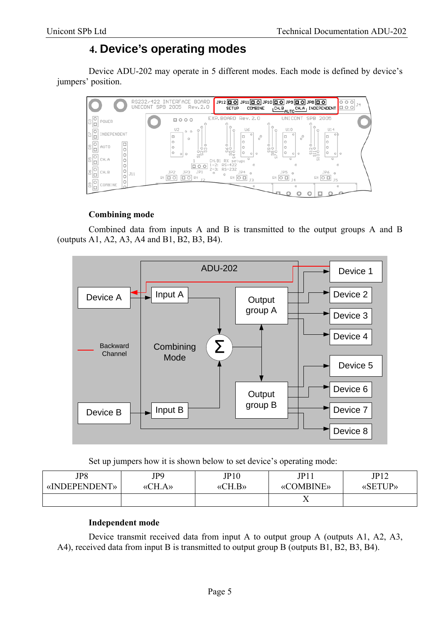# **4. Device's operating modes**

Device ADU-202 may operate in 5 different modes. Each mode is defined by device's jumpers' position.



#### **Combining mode**

Combined data from inputs A and B is transmitted to the output groups A and B (outputs A1, A2, A3, A4 and B1, B2, B3, B4).



Set up jumpers how it is shown below to set device's operating mode:

| JP8           | JP9                         | JP10                                   | JPI1             | JP12           |
|---------------|-----------------------------|----------------------------------------|------------------|----------------|
| «INDEPENDENT» | $\Upsilon$ H.A»<br>$\alpha$ | $\langle \langle CH.B \rangle \rangle$ | <b>«COMBINE»</b> | <b>«SETUP»</b> |
|               |                             |                                        | ∡⊾               |                |

#### **Independent mode**

Device transmit received data from input A to output group A (outputs A1, A2, A3, A4), received data from input B is transmitted to output group B (outputs B1, B2, B3, B4).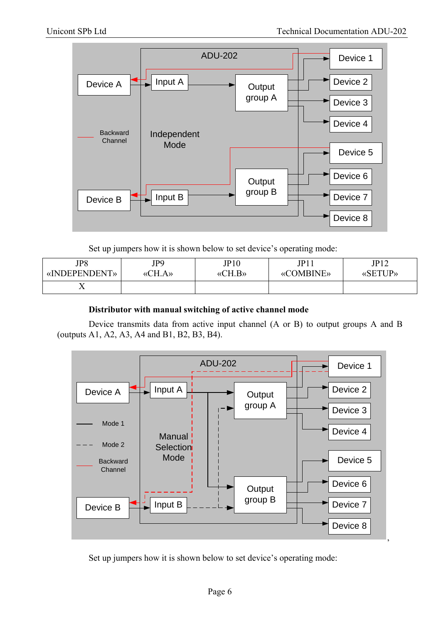

Set up jumpers how it is shown below to set device's operating mode:

| JP8           | JP9    | JP10                                   | JP11      | JPI2           |
|---------------|--------|----------------------------------------|-----------|----------------|
| «INDEPENDENT» | «CH.A» | $\langle \langle CH.B \rangle \rangle$ | «COMBINE» | <b>«SETUP»</b> |
|               |        |                                        |           |                |

#### **Distributor with manual switching of active channel mode**

Device transmits data from active input channel (A or B) to output groups A and B (outputs A1, A2, A3, A4 and B1, B2, B3, B4).



Set up jumpers how it is shown below to set device's operating mode: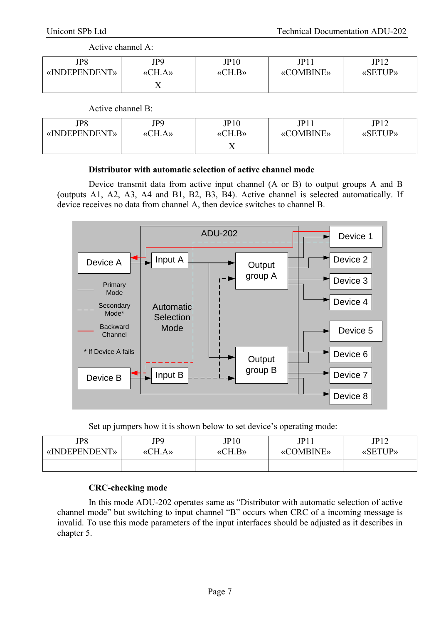#### Active channel A:

| JP8           | JP9            | JP10                                   | JPI1             | JP12           |
|---------------|----------------|----------------------------------------|------------------|----------------|
| «INDEPENDENT» | CH.A.<br>$\ll$ | $\langle \langle CH.B \rangle \rangle$ | <b>«COMBINE»</b> | <b>«SETUP»</b> |
|               | $\overline{ }$ |                                        |                  |                |

#### Active channel B:

| JP8           | JP9    | JP10                     | JP11             | IP12           |
|---------------|--------|--------------------------|------------------|----------------|
| «INDEPENDENT» | «CH.A» | $\langle$ CH.B $\rangle$ | <b>«COMBINE»</b> | <b>«SETUP»</b> |
|               |        | ∡⊾                       |                  |                |

#### **Distributor with automatic selection of active channel mode**

Device transmit data from active input channel (A or B) to output groups A and B (outputs A1, A2, A3, A4 and B1, B2, B3, B4). Active channel is selected automatically. If device receives no data from channel A, then device switches to channel B.



Set up jumpers how it is shown below to set device's operating mode:

| JP8           | JP9    | JP10                                   | JPI1             | JP12           |
|---------------|--------|----------------------------------------|------------------|----------------|
| «INDEPENDENT» | «CH.A» | $\langle \langle CH.B \rangle \rangle$ | <b>«COMBINE»</b> | <b>«SETUP»</b> |
|               |        |                                        |                  |                |

#### **CRC-checking mode**

In this mode ADU-202 operates same as "Distributor with automatic selection of active channel mode" but switching to input channel "B" occurs when CRC of a incoming message is invalid. To use this mode parameters of the input interfaces should be adjusted as it describes in chapter 5.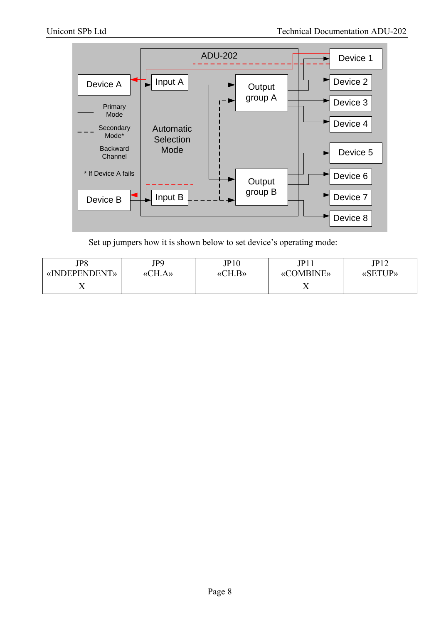

Set up jumpers how it is shown below to set device's operating mode:

| JP8           | JP9                    | JP10                     | JPI1             | IP12<br>$\overline{1}$ |
|---------------|------------------------|--------------------------|------------------|------------------------|
| «INDEPENDENT» | $A\lambda$<br>`Н.<br>« | $\langle$ CH.B $\rangle$ | <b>«COMBINE»</b> | <b>«SETUP»</b>         |
| ∡⊾            |                        |                          | - -<br>∡⊾        |                        |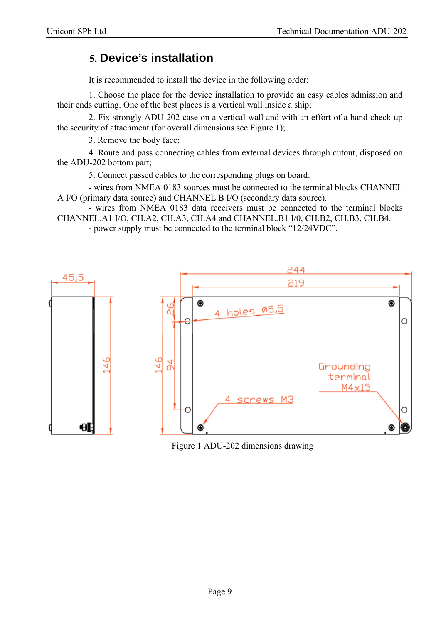### **5. Device's installation**

It is recommended to install the device in the following order:

1. Choose the place for the device installation to provide an easy cables admission and their ends cutting. One of the best places is a vertical wall inside a ship;

2. Fix strongly ADU-202 case on a vertical wall and with an effort of a hand check up the security of attachment (for overall dimensions see Figure 1);

3. Remove the body face;

4. Route and pass connecting cables from external devices through cutout, disposed on the ADU-202 bottom part;

5. Connect passed cables to the corresponding plugs on board:

- wires from NMEA 0183 sources must be connected to the terminal blocks CHANNEL A I/O (primary data source) and CHANNEL B I/O (secondary data source).

- wires from NMEA 0183 data receivers must be connected to the terminal blocks CHANNEL.A1 I/O, CH.A2, CH.A3, CH.A4 and CHANNEL.B1 I/0, CH.B2, CH.B3, CH.B4.

- power supply must be connected to the terminal block "12/24VDC".



Figure 1 ADU-202 dimensions drawing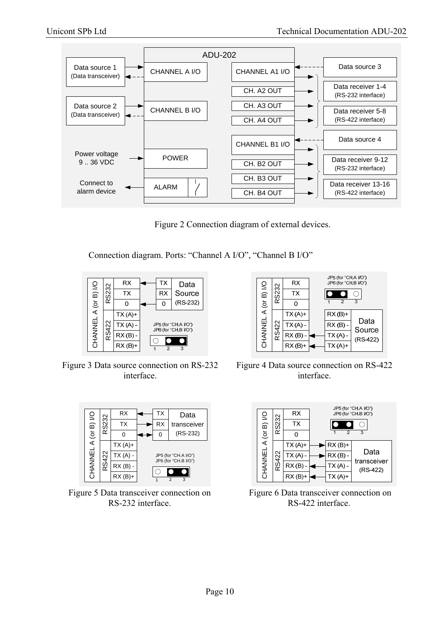

Figure 2 Connection diagram of external devices.

Connection diagram. Ports: "Channel A I/O", "Channel B I/O"



Figure 3 Data source connection on RS-232 interface.



Figure 5 Data transceiver connection on RS-232 interface.



Figure 4 Data source connection on RS-422 interface.



 Figure 6 Data transceiver connection on RS-422 interface.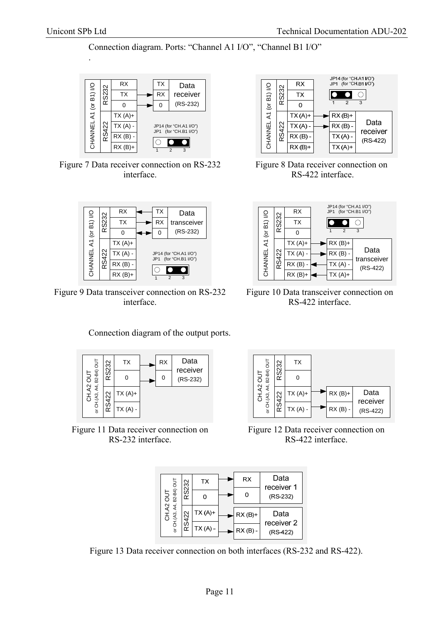.

Connection diagram. Ports: "Channel A1 I/O", "Channel B1 I/O"



Figure 7 Data receiver connection on RS-232 interface.



Figure 9 Data transceiver connection on RS-232 interface.



Figure 8 Data receiver connection on RS-422 interface.



Figure 10 Data transceiver connection on RS-422 interface.



Connection diagram of the output ports.

Figure 11 Data receiver connection on RS-232 interface.



Figure 12 Data receiver connection on RS-422 interface.

| $\frac{1}{2}$<br>B <sub>2</sub> -B <sub>4</sub> )<br>ನ<br>౪<br>Æ,<br>АЗ, | న్ల<br>$\scriptstyle\sim$<br>ഗ | <b>TX</b> | RX        | Data<br>receiver 1     |
|--------------------------------------------------------------------------|--------------------------------|-----------|-----------|------------------------|
|                                                                          |                                | n         |           | (RS-232)               |
|                                                                          | ನಿ<br>င္က                      | $TX(A)+$  | $RX(B)+$  | Data                   |
|                                                                          |                                | $TX(A)$ - | $RX(B) -$ | receiver 2<br>(RS-422) |

Figure 13 Data receiver connection on both interfaces (RS-232 and RS-422).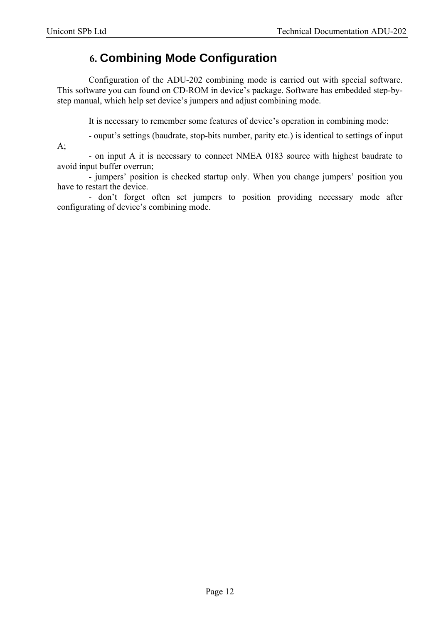# **6. Combining Mode Configuration**

Configuration of the ADU-202 combining mode is carried out with special software. This software you can found on CD-ROM in device's package. Software has embedded step-bystep manual, which help set device's jumpers and adjust combining mode.

It is necessary to remember some features of device's operation in combining mode:

- ouput's settings (baudrate, stop-bits number, parity etc.) is identical to settings of input

 $A$ ;

- on input A it is necessary to connect NMEA 0183 source with highest baudrate to avoid input buffer overrun;

- jumpers' position is checked startup only. When you change jumpers' position you have to restart the device.

- don't forget often set jumpers to position providing necessary mode after configurating of device's combining mode.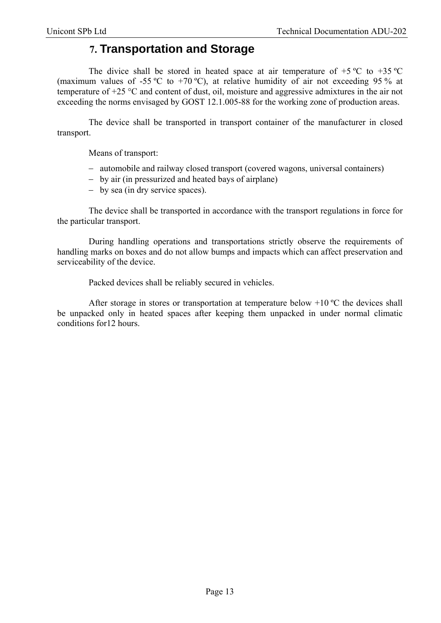### **7. Transportation and Storage**

The divice shall be stored in heated space at air temperature of  $+5$  °C to  $+35$  °C (maximum values of -55 °C to +70 °C), at relative humidity of air not exceeding 95 % at temperature of +25 °C and content of dust, oil, moisture and aggressive admixtures in the air not exceeding the norms envisaged by GOST 12.1.005-88 for the working zone of production areas.

The device shall be transported in transport container of the manufacturer in closed transport.

Means of transport:

- automobile and railway closed transport (covered wagons, universal containers)
- by air (in pressurized and heated bays of airplane)
- by sea (in dry service spaces).

The device shall be transported in accordance with the transport regulations in force for the particular transport.

During handling operations and transportations strictly observe the requirements of handling marks on boxes and do not allow bumps and impacts which can affect preservation and serviceability of the device.

Packed devices shall be reliably secured in vehicles.

After storage in stores or transportation at temperature below  $+10$  °C the devices shall be unpacked only in heated spaces after keeping them unpacked in under normal climatic conditions for12 hours.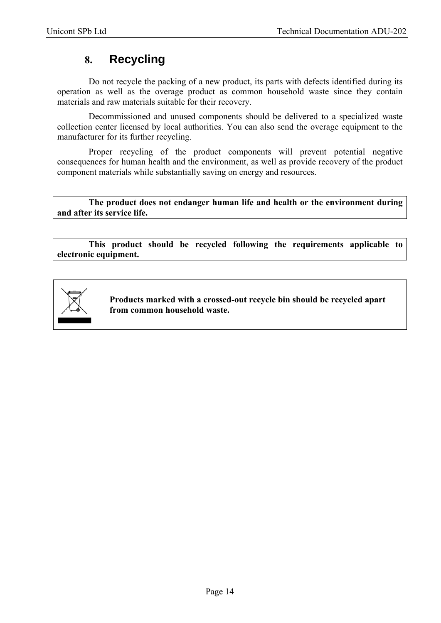# **8. Recycling**

Do not recycle the packing of a new product, its parts with defects identified during its operation as well as the overage product as common household waste since they contain materials and raw materials suitable for their recovery.

Decommissioned and unused components should be delivered to a specialized waste collection center licensed by local authorities. You can also send the overage equipment to the manufacturer for its further recycling.

Proper recycling of the product components will prevent potential negative consequences for human health and the environment, as well as provide recovery of the product component materials while substantially saving on energy and resources.

**The product does not endanger human life and health or the environment during and after its service life.** 

**This product should be recycled following the requirements applicable to electronic equipment.** 



**Products marked with a crossed-out recycle bin should be recycled apart from common household waste.**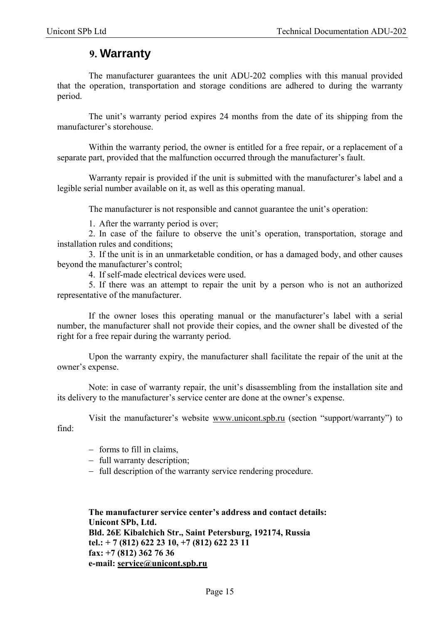### **9. Warranty**

The manufacturer guarantees the unit ADU-202 complies with this manual provided that the operation, transportation and storage conditions are adhered to during the warranty period.

The unit's warranty period expires 24 months from the date of its shipping from the manufacturer's storehouse.

Within the warranty period, the owner is entitled for a free repair, or a replacement of a separate part, provided that the malfunction occurred through the manufacturer's fault.

Warranty repair is provided if the unit is submitted with the manufacturer's label and a legible serial number available on it, as well as this operating manual.

The manufacturer is not responsible and cannot guarantee the unit's operation:

1. After the warranty period is over;

2. In case of the failure to observe the unit's operation, transportation, storage and installation rules and conditions;

3. If the unit is in an unmarketable condition, or has a damaged body, and other causes beyond the manufacturer's control;

4. If self-made electrical devices were used.

5. If there was an attempt to repair the unit by a person who is not an authorized representative of the manufacturer.

If the owner loses this operating manual or the manufacturer's label with a serial number, the manufacturer shall not provide their copies, and the owner shall be divested of the right for a free repair during the warranty period.

Upon the warranty expiry, the manufacturer shall facilitate the repair of the unit at the owner's expense.

Note: in case of warranty repair, the unit's disassembling from the installation site and its delivery to the manufacturer's service center are done at the owner's expense.

Visit the manufacturer's website www.unicont.spb.ru (section "support/warranty") to find:

- $-$  forms to fill in claims,
- full warranty description:
- full description of the warranty service rendering procedure.

**The manufacturer service center's address and contact details: Unicont SPb, Ltd. Bld. 26Е Kibalchich Str., Saint Petersburg, 192174, Russia tel.: + 7 (812) 622 23 10, +7 (812) 622 23 11 fax: +7 (812) 362 76 36 e-mail: service@unicont.spb.ru**